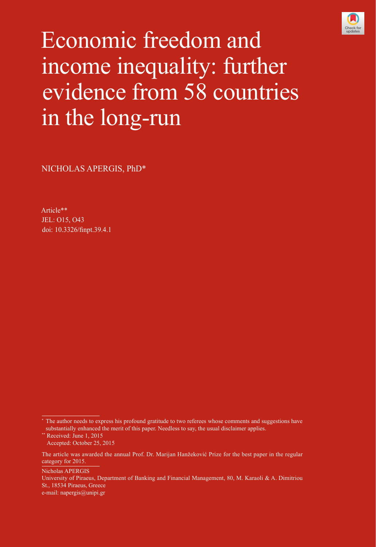

# Economic freedom and income inequality: further evidence from 58 countries in the long-run

NICHOLAS APERGIS, PhD\*

Article\*\* JEL: O15, O43 [doi: 10.3326/finpt.39.4.1](http://dx.doi.org/10.3326/fintp.39.4.1)

Nicholas APERGIS

The author needs to express his profound gratitude to two referees whose comments and suggestions have substantially enhanced the merit of this paper. Needless to say, the usual disclaimer applies.

<sup>\*\*</sup> Received: June 1, 2015 Accepted: October 25, 2015

The article was awarded the annual Prof. Dr. Marijan Hanžeković Prize for the best paper in the regular category for 2015.

University of Piraeus, Department of Banking and Financial Management, 80, M. Karaoli & A. Dimitriou St., 18534 Piraeus, Greece e-mail: [napergis@unipi.gr](mailto:napergis@unipi.gr)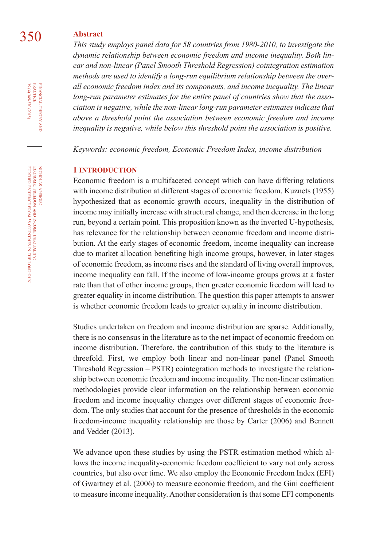## 350 **Abstract**

*This study employs panel data for 58 countries from 1980-2010, to investigate the dynamic relationship between economic freedom and income inequality. Both linear and non-linear (Panel Smooth Threshold Regression) cointegration estimation methods are used to identify a long-run equilibrium relationship between the overall economic freedom index and its components, and income inequality. The linear long-run parameter estimates for the entire panel of countries show that the association is negative, while the non-linear long-run parameter estimates indicate that above a threshold point the association between economic freedom and income inequality is negative, while below this threshold point the association is positive.* 

*Keywords: economic freedom, Economic Freedom Index, income distribution*

#### **1 INTRODUCTION**

Economic freedom is a multifaceted concept which can have differing relations with income distribution at different stages of economic freedom. Kuznets (1955) hypothesized that as economic growth occurs, inequality in the distribution of income may initially increase with structural change, and then decrease in the long run, beyond a certain point. This proposition known as the inverted U-hypothesis, has relevance for the relationship between economic freedom and income distribution. At the early stages of economic freedom, income inequality can increase due to market allocation benefiting high income groups, however, in later stages of economic freedom, as income rises and the standard of living overall improves, income inequality can fall. If the income of low-income groups grows at a faster rate than that of other income groups, then greater economic freedom will lead to greater equality in income distribution. The question this paper attempts to answer is whether economic freedom leads to greater equality in income distribution.

Studies undertaken on freedom and income distribution are sparse. Additionally, there is no consensus in the literature as to the net impact of economic freedom on income distribution. Therefore, the contribution of this study to the literature is threefold. First, we employ both linear and non-linear panel (Panel Smooth Threshold Regression – PSTR) cointegration methods to investigate the relationship between economic freedom and income inequality. The non-linear estimation methodologies provide clear information on the relationship between economic freedom and income inequality changes over different stages of economic freedom. The only studies that account for the presence of thresholds in the economic freedom-income inequality relationship are those by Carter (2006) and Bennett and Vedder (2013).

We advance upon these studies by using the PSTR estimation method which allows the income inequality-economic freedom coefficient to vary not only across countries, but also over time. We also employ the Economic Freedom Index (EFI) of Gwartney et al. (2006) to measure economic freedom, and the Gini coefficient to measure income inequality. Another consideration is that some EFI components

financial

theory

nicholas

apergis: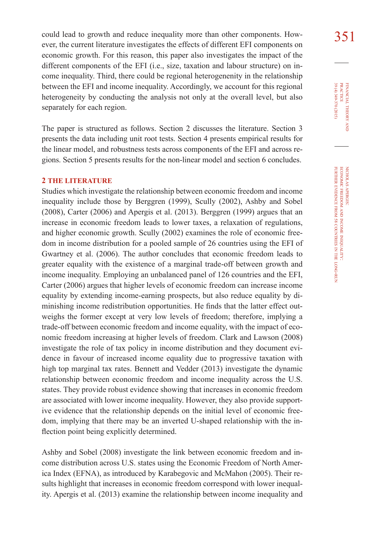could lead to growth and reduce inequality more than other components. How-<br>351 ever, the current literature investigates the effects of different EFI components on economic growth. For this reason, this paper also investigates the impact of the different components of the EFI (i.e., size, taxation and labour structure) on income inequality. Third, there could be regional heterogenenity in the relationship between the EFI and income inequality. Accordingly, we account for this regional heterogeneity by conducting the analysis not only at the overall level, but also separately for each region.

The paper is structured as follows. Section 2 discusses the literature. Section 3 presents the data including unit root tests. Section 4 presents empirical results for the linear model, and robustness tests across components of the EFI and across regions. Section 5 presents results for the non-linear model and section 6 concludes.

#### **2 THE LITERATURE**

Studies which investigate the relationship between economic freedom and income inequality include those by Berggren (1999), Scully (2002), Ashby and Sobel (2008), Carter (2006) and Apergis et al. (2013). Berggren (1999) argues that an increase in economic freedom leads to lower taxes, a relaxation of regulations, and higher economic growth. Scully (2002) examines the role of economic freedom in income distribution for a pooled sample of 26 countries using the EFI of Gwartney et al. (2006). The author concludes that economic freedom leads to greater equality with the existence of a marginal trade-off between growth and income inequality. Employing an unbalanced panel of 126 countries and the EFI, Carter (2006) argues that higher levels of economic freedom can increase income equality by extending income-earning prospects, but also reduce equality by diminishing income redistribution opportunities. He finds that the latter effect outweighs the former except at very low levels of freedom; therefore, implying a trade-off between economic freedom and income equality, with the impact of economic freedom increasing at higher levels of freedom. Clark and Lawson (2008) investigate the role of tax policy in income distribution and they document evidence in favour of increased income equality due to progressive taxation with high top marginal tax rates. Bennett and Vedder (2013) investigate the dynamic relationship between economic freedom and income inequality across the U.S. states. They provide robust evidence showing that increases in economic freedom are associated with lower income inequality. However, they also provide supportive evidence that the relationship depends on the initial level of economic freedom, implying that there may be an inverted U-shaped relationship with the inflection point being explicitly determined.

Ashby and Sobel (2008) investigate the link between economic freedom and income distribution across U.S. states using the Economic Freedom of North America Index (EFNA), as introduced by Karabegovic and McMahon (2005). Their results highlight that increases in economic freedom correspond with lower inequality. Apergis et al. (2013) examine the relationship between income inequality and 39 (4) 349-370 (2015) FINANCIAL THEORY<br>PRACTICE 39 (4) 349-370 (2015) practice financial theory i<br>And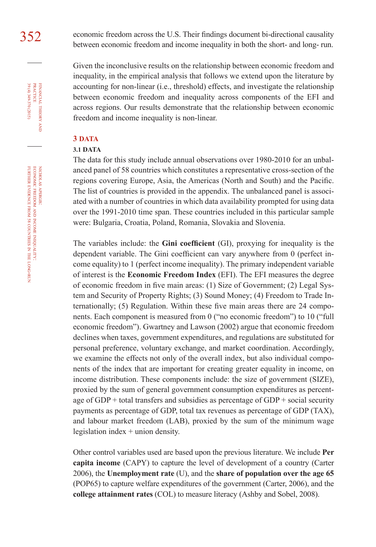352 economic freedom across the U.S. Their findings document bi-directional causality between economic freedom and income inequality in both the short- and long- run.

> Given the inconclusive results on the relationship between economic freedom and inequality, in the empirical analysis that follows we extend upon the literature by accounting for non-linear (i.e., threshold) effects, and investigate the relationship between economic freedom and inequality across components of the EFI and across regions. Our results demonstrate that the relationship between economic freedom and income inequality is non-linear.

#### **3 DATA**

#### **3.1 DATA**

The data for this study include annual observations over 1980-2010 for an unbalanced panel of 58 countries which constitutes a representative cross-section of the regions covering Europe, Asia, the Americas (North and South) and the Pacific. The list of countries is provided in the appendix. The unbalanced panel is associated with a number of countries in which data availability prompted for using data over the 1991-2010 time span. These countries included in this particular sample were: Bulgaria, Croatia, Poland, Romania, Slovakia and Slovenia.

The variables include: the **Gini coefficient** (GI), proxying for inequality is the dependent variable. The Gini coefficient can vary anywhere from 0 (perfect income equality) to 1 (perfect income inequality). The primary independent variable of interest is the **Economic Freedom Index** (EFI). The EFI measures the degree of economic freedom in five main areas: (1) Size of Government; (2) Legal System and Security of Property Rights; (3) Sound Money; (4) Freedom to Trade Internationally; (5) Regulation. Within these five main areas there are 24 components. Each component is measured from 0 ("no economic freedom") to 10 ("full economic freedom"). Gwartney and Lawson (2002) argue that economic freedom declines when taxes, government expenditures, and regulations are substituted for personal preference, voluntary exchange, and market coordination. Accordingly, we examine the effects not only of the overall index, but also individual components of the index that are important for creating greater equality in income, on income distribution. These components include: the size of government (SIZE), proxied by the sum of general government consumption expenditures as percentage of  $GDP + total$  transfers and subsidies as percentage of  $GDP + social$  security payments as percentage of GDP, total tax revenues as percentage of GDP (TAX), and labour market freedom (LAB), proxied by the sum of the minimum wage legislation index + union density.

Other control variables used are based upon the previous literature. We include **Per capita income** (CAPY) to capture the level of development of a country (Carter 2006), the **Unemployment rate** (U), and the **share of population over the age 65** (POP65) to capture welfare expenditures of the government (Carter, 2006), and the **college attainment rates** (COL) to measure literacy (Ashby and Sobel, 2008).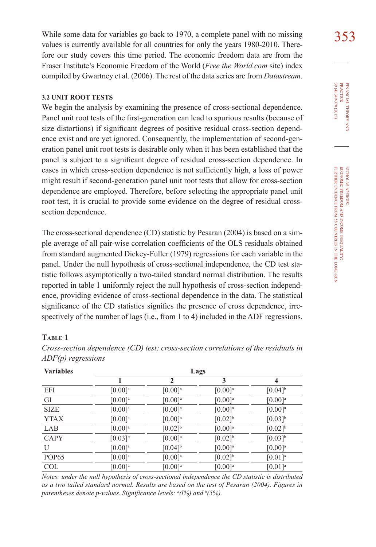While some data for variables go back to 1970, a complete panel with no missing  $353$ values is currently available for all countries for only the years 1980-2010. Therefore our study covers this time period. The economic freedom data are from the Fraser Institute's Economic Freedom of the World (*Free the World.com* site) index compiled by Gwartney et al. (2006). The rest of the data series are from *Datastream*.

## **3.2 UNIT ROOT TESTS**

We begin the analysis by examining the presence of cross-sectional dependence. Panel unit root tests of the first-generation can lead to spurious results (because of size distortions) if significant degrees of positive residual cross-section dependence exist and are yet ignored. Consequently, the implementation of second-generation panel unit root tests is desirable only when it has been established that the panel is subject to a significant degree of residual cross-section dependence. In cases in which cross-section dependence is not sufficiently high, a loss of power might result if second-generation panel unit root tests that allow for cross-section dependence are employed. Therefore, before selecting the appropriate panel unit root test, it is crucial to provide some evidence on the degree of residual crosssection dependence.

The cross-sectional dependence (CD) statistic by Pesaran (2004) is based on a simple average of all pair-wise correlation coefficients of the OLS residuals obtained from standard augmented Dickey-Fuller (1979) regressions for each variable in the panel. Under the null hypothesis of cross-sectional independence, the CD test statistic follows asymptotically a two-tailed standard normal distribution. The results reported in table 1 uniformly reject the null hypothesis of cross-section independence, providing evidence of cross-sectional dependence in the data. The statistical significance of the CD statistics signifies the presence of cross dependence, irrespectively of the number of lags (i.e., from 1 to 4) included in the ADF regressions.

## **Table 1**

| <b>Variables</b>  | Lags                  |                       |                       |                       |
|-------------------|-----------------------|-----------------------|-----------------------|-----------------------|
|                   |                       | 2                     | 3                     | 4                     |
| <b>EFI</b>        | $[0.00]$ <sup>a</sup> | $[0.00]$ <sup>a</sup> | $[0.00]$ <sup>a</sup> | $[0.04]$ <sup>b</sup> |
| GI                | $[0.00]$ <sup>a</sup> | $[0.00]$ <sup>a</sup> | $[0.00]$ <sup>a</sup> | $[0.00]$ <sup>a</sup> |
| <b>SIZE</b>       | $[0.00]$ <sup>a</sup> | $[0.00]$ <sup>a</sup> | $[0.00]$ <sup>a</sup> | $[0.00]$ <sup>a</sup> |
| <b>YTAX</b>       | $[0.00]$ <sup>a</sup> | $[0.00]$ <sup>a</sup> | $[0.02]$ <sup>b</sup> | $[0.03]$ <sup>b</sup> |
| LAB               | $[0.00]$ <sup>a</sup> | $[0.02]$ <sup>b</sup> | $[0.00]$ <sup>a</sup> | $[0.02]$ <sup>b</sup> |
| <b>CAPY</b>       | $[0.03]$ <sup>b</sup> | $[0.00]$ <sup>a</sup> | $[0.02]$ <sup>b</sup> | $[0.03]^{b}$          |
| $\mathbf{U}$      | $[0.00]$ <sup>a</sup> | $[0.04]$ <sup>b</sup> | $[0.00]$ <sup>a</sup> | $[0.00]$ <sup>a</sup> |
| POP <sub>65</sub> | $[0.00]$ <sup>a</sup> | $[0.00]$ <sup>a</sup> | $[0.02]$ <sup>b</sup> | $[0.01]$ <sup>a</sup> |
| <b>COL</b>        | $[0.00]$ <sup>a</sup> | $[0.00]$ <sup>a</sup> | $[0.00]$ <sup>a</sup> | $[0.01]$ <sup>a</sup> |

*Cross-section dependence (CD) test: cross-section correlations of the residuals in ADF(p) regressions*

*Notes: under the null hypothesis of cross-sectional independence the CD statistic is distributed as a two tailed standard normal. Results are based on the test of Pesaran (2004). Figures in*  parentheses denote p-values. Significance levels: <sup>a</sup>(l%) and <sup>b</sup>(5%).

39 (4) 349-370 (2015) FINANCIAL THEORY<br>PRACTICE 39 (4) 349-370 (2015) practice financial theory i<br>And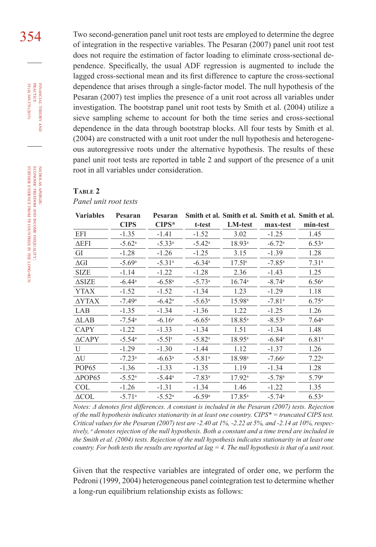354 Two second-generation panel unit root tests are employed to determine the degree of integration in the respective variables. The Pesaran (2007) panel unit root test does not require the estimation of factor loading to eliminate cross-sectional dependence. Specifically, the usual ADF regression is augmented to include the lagged cross-sectional mean and its first difference to capture the cross-sectional dependence that arises through a single-factor model. The null hypothesis of the Pesaran (2007) test implies the presence of a unit root across all variables under investigation. The bootstrap panel unit root tests by Smith et al. (2004) utilize a sieve sampling scheme to account for both the time series and cross-sectional dependence in the data through bootstrap blocks. All four tests by Smith et al. (2004) are constructed with a unit root under the null hypothesis and heterogeneous autoregressive roots under the alternative hypothesis. The results of these panel unit root tests are reported in table 2 and support of the presence of a unit root in all variables under consideration.

#### **Table 2**

*Panel unit root tests* 

| <b>Variables</b>    | Pesaran              | Pesaran              |                      |                    |                      | Smith et al. Smith et al. Smith et al. Smith et al. |
|---------------------|----------------------|----------------------|----------------------|--------------------|----------------------|-----------------------------------------------------|
|                     | <b>CIPS</b>          | $CIPS*$              | t-test               | <b>LM-test</b>     | max-test             | min-test                                            |
| EFI                 | $-1.35$              | $-1.41$              | $-1.52$              | 3.02               | $-1.25$              | 1.45                                                |
| $\Delta$ EFI        | $-5.62$ <sup>a</sup> | $-5.33^{\rm a}$      | $-5.42^{\circ}$      | $18.93^{\rm a}$    | $-6.72$ <sup>a</sup> | 6.53 <sup>a</sup>                                   |
| GI                  | $-1.28$              | $-1.26$              | $-1.25$              | 3.15               | $-1.39$              | 1.28                                                |
| $\Delta \text{GI}$  | $-5.69$ <sup>a</sup> | $-5.31$ <sup>a</sup> | $-6.34$ <sup>a</sup> | $17.51^a$          | $-7.85$ <sup>a</sup> | 7.31 <sup>a</sup>                                   |
| <b>SIZE</b>         | $-1.14$              | $-1.22$              | $-1.28$              | 2.36               | $-1.43$              | 1.25                                                |
| $\Delta$ SIZE       | $-6.44$ <sup>a</sup> | $-6.58a$             | $-5.73$ <sup>a</sup> | $16.74^{\circ}$    | $-8.74$ <sup>a</sup> | 6.56 <sup>a</sup>                                   |
| YTAX                | $-1.52$              | $-1.52$              | $-1.34$              | 1.23               | $-1.29$              | 1.18                                                |
| ΔYTAX               | $-7.49$ <sup>a</sup> | $-6.42$ <sup>a</sup> | $-5.63a$             | 15.98 <sup>a</sup> | $-7.81$ <sup>a</sup> | $6.75^{\rm a}$                                      |
| LAB                 | $-1.35$              | $-1.34$              | $-1.36$              | 1.22               | $-1.25$              | 1.26                                                |
| $\Delta$ LAB        | $-7.54$ <sup>a</sup> | $-6.16a$             | $-6.65$ <sup>a</sup> | $18.85^{\circ}$    | $-8.53^{\rm a}$      | $7.64^{\circ}$                                      |
| <b>CAPY</b>         | $-1.22$              | $-1.33$              | $-1.34$              | 1.51               | $-1.34$              | 1.48                                                |
| $\triangle$ CAPY    | $-5.54^{\circ}$      | $-5.51^{\circ}$      | $-5.82$ <sup>a</sup> | $18.95^{\circ}$    | $-6.84$ <sup>a</sup> | 6.81 <sup>a</sup>                                   |
| U                   | $-1.29$              | $-1.30$              | $-1.44$              | 1.12               | $-1.37$              | 1.26                                                |
| ΔU                  | $-7.23$ <sup>a</sup> | $-6.63a$             | $-5.81a$             | 18.98 <sup>a</sup> | $-7.66a$             | 7.22 <sup>a</sup>                                   |
| POP <sub>65</sub>   | $-1.36$              | $-1.33$              | $-1.35$              | 1.19               | $-1.34$              | 1.28                                                |
| $\Delta$ POP65      | $-5.52^{\rm a}$      | $-5.44^{\circ}$      | $-7.83$ <sup>a</sup> | $17.92^{\rm a}$    | $-5.78a$             | 5.79a                                               |
| COL                 | $-1.26$              | $-1.31$              | $-1.34$              | 1.46               | $-1.22$              | 1.35                                                |
| $\Delta \text{COL}$ | $-5.71$ <sup>a</sup> | $-5.52^{\rm a}$      | $-6.59a$             | $17.85^{a}$        | $-5.74$ <sup>a</sup> | 6.53 <sup>a</sup>                                   |

*Notes: Δ denotes first differences. A constant is included in the Pesaran (2007) tests. Rejection of the null hypothesis indicates stationarity in at least one country. CIPS\* = truncated CIPS test. Critical values for the Pesaran (2007) test are -2.40 at 1%, -2.22 at 5%, and -2.14 at 10%, respectively, a denotes rejection of the null hypothesis. Both a constant and a time trend are included in the Smith et al. (2004) tests. Rejection of the null hypothesis indicates stationarity in at least one country. For both tests the results are reported at lag = 4. The null hypothesis is that of a unit root.* 

Given that the respective variables are integrated of order one, we perform the Pedroni (1999, 2004) heterogeneous panel cointegration test to determine whether a long-run equilibrium relationship exists as follows:

39 (4) 349-370 (2015) FINANCIAL THEORY<br>PRACTICE 39 (4) 349-370 (2015) practice financial theory and

nicholas apergis: economic freedom NICHOLAS APERGIS:<br>ECONOMIC FREEDOM AND INCOME INEQUALITY: income inequality: further evidence from 58 countries in the long-run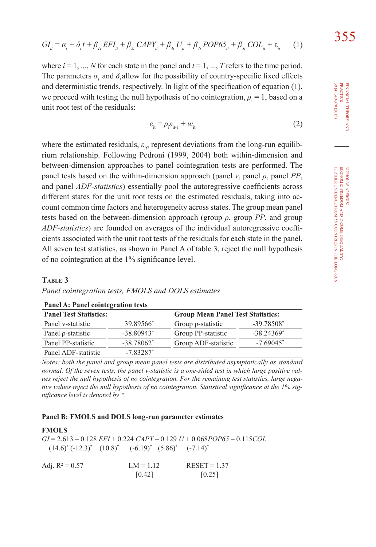$$
GI_{it} = \alpha_{i} + \delta_{i}t + \beta_{li}EFI_{it} + \beta_{2i}CAPY_{it} + \beta_{3i}U_{it} + \beta_{4i}POP65_{it} + \beta_{5i} COL_{it} + \varepsilon_{it}
$$
 (1)

where  $i = 1, ..., N$  for each state in the panel and  $t = 1, ..., T$  refers to the time period. The parameters  $\alpha$ , and  $\delta$  allow for the possibility of country-specific fixed effects and deterministic trends, respectively. In light of the specification of equation (1), we proceed with testing the null hypothesis of no cointegration,  $\rho = 1$ , based on a unit root test of the residuals:

$$
\varepsilon_{it} = \rho_i \varepsilon_{it-1} + w_{it} \tag{2}
$$

where the estimated residuals,  $\varepsilon$ <sub>*it*</sub>, represent deviations from the long-run equilibrium relationship. Following Pedroni (1999, 2004) both within-dimension and between-dimension approaches to panel cointegration tests are performed. The panel tests based on the within-dimension approach (panel  $\nu$ , panel  $\rho$ , panel *PP*, and panel *ADF-statistics*) essentially pool the autoregressive coefficients across different states for the unit root tests on the estimated residuals, taking into account common time factors and heterogeneity across states. The group mean panel tests based on the between-dimension approach (group  $\rho$ , group *PP*, and group *ADF-statistics*) are founded on averages of the individual autoregressive coefficients associated with the unit root tests of the residuals for each state in the panel. All seven test statistics, as shown in Panel A of table 3, reject the null hypothesis of no cointegration at the 1% significance level.

#### **Table 3**

#### *Panel cointegration tests, FMOLS and DOLS estimates*

| <b>Panel Test Statistics:</b> |                        | <b>Group Mean Panel Test Statistics:</b> |              |  |
|-------------------------------|------------------------|------------------------------------------|--------------|--|
| Panel v-statistic             | 39.89566*              | Group $\rho$ -statistic                  | $-39.78508*$ |  |
| Panel p-statistic             | $-38.80943*$           | Group PP-statistic                       | $-38.24369*$ |  |
| Panel PP-statistic            | $-38.78062^*$          | Group ADF-statistic                      | $-7.69045^*$ |  |
| Panel ADF-statistic           | $-783287$ <sup>*</sup> |                                          |              |  |

#### **Panel A: Panel cointegration tests**

*Notes: both the panel and group mean panel tests are distributed asymptotically as standard normal. Of the seven tests, the panel v-statistic is a one-sided test in which large positive values reject the null hypothesis of no cointegration. For the remaining test statistics, large negative values reject the null hypothesis of no cointegration. Statistical significance at the 1% significance level is denoted by \*.* 

#### **Panel B: FMOLS and DOLS long-run parameter estimates**

| <b>FMOLS</b>      | $(14.6)^* (-12.3)^* (10.8)^* (-6.19)^* (5.86)^* (-7.14)^*$ | $GI = 2.613 - 0.128$ $EFI + 0.224$ $CAPY - 0.129$ $U + 0.068POP65 - 0.115COL$ |  |
|-------------------|------------------------------------------------------------|-------------------------------------------------------------------------------|--|
| Adj. $R^2 = 0.57$ | $LM = 1.12$<br>[0.42]                                      | $RESET = 1.37$<br>[0.25]                                                      |  |

FINANCIAL THEORY PRACTICE 39 (4) 349-370 (2015) 39 (4) 349-370 (2015) practice financial theory i<br>And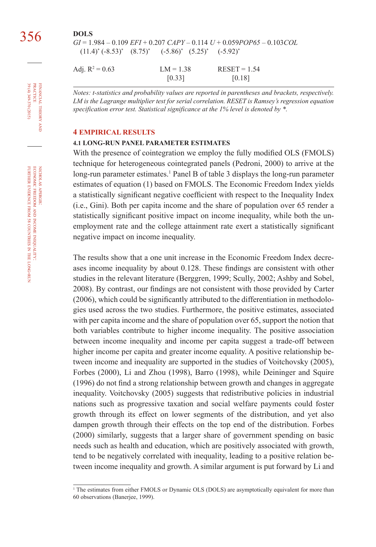*GI* = 1.984 – 0.109 *EFI* + 0.207 *CAPY* – 0.114 *U* + 0.059*POP65* – 0.103*COL*   $(11.4)^*$   $(-8.53)^*$   $(8.75)^*$  $(-5.86)^*$   $(5.25)^*$   $(-5.92)^*$ 

Adj.  $R^2 = 0.63$  $LM = 1.38$  RESET = 1.54  $[0.33]$   $[0.18]$ 

*Notes: t-statistics and probability values are reported in parentheses and brackets, respectively. LM is the Lagrange multiplier test for serial correlation. RESET is Ramsey's regression equation specification error test. Statistical significance at the 1% level is denoted by \*.*

#### **4 EMPIRICAL RESULTS**

## **4.1 LONG-RUN PANEL PARAMETER ESTIMATES**

With the presence of cointegration we employ the fully modified OLS (FMOLS) technique for heterogeneous cointegrated panels (Pedroni, 2000) to arrive at the long-run parameter estimates.<sup>1</sup> Panel B of table 3 displays the long-run parameter estimates of equation (1) based on FMOLS. The Economic Freedom Index yields a statistically significant negative coefficient with respect to the Inequality Index (i.e., Gini). Both per capita income and the share of population over 65 render a statistically significant positive impact on income inequality, while both the unemployment rate and the college attainment rate exert a statistically significant negative impact on income inequality.

The results show that a one unit increase in the Economic Freedom Index decreases income inequality by about 0.128. These findings are consistent with other studies in the relevant literature (Berggren, 1999; Scully, 2002; Ashby and Sobel, 2008). By contrast, our findings are not consistent with those provided by Carter (2006), which could be significantly attributed to the differentiation in methodologies used across the two studies. Furthermore, the positive estimates, associated with per capita income and the share of population over 65, support the notion that both variables contribute to higher income inequality. The positive association between income inequality and income per capita suggest a trade-off between higher income per capita and greater income equality. A positive relationship between income and inequality are supported in the studies of Voitchovsky (2005), Forbes (2000), Li and Zhou (1998), Barro (1998), while Deininger and Squire (1996) do not find a strong relationship between growth and changes in aggregate inequality. Voitchovsky (2005) suggests that redistributive policies in industrial nations such as progressive taxation and social welfare payments could foster growth through its effect on lower segments of the distribution, and yet also dampen growth through their effects on the top end of the distribution. Forbes (2000) similarly, suggests that a larger share of government spending on basic needs such as health and education, which are positively associated with growth, tend to be negatively correlated with inequality, leading to a positive relation between income inequality and growth. A similar argument is put forward by Li and

financial

FINANCIAL THEORY<br>PRACTICE 39 (4) 349-370 (2015)

39 (4) 349-370 (2015) practice

<sup>&</sup>lt;sup>1</sup> The estimates from either FMOLS or Dynamic OLS (DOLS) are asymptotically equivalent for more than 60 observations (Banerjee, 1999).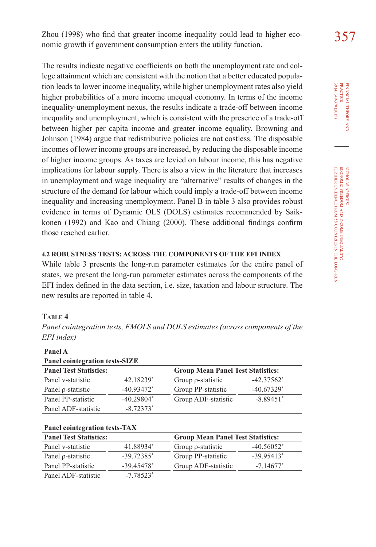Zhou (1998) who find that greater income inequality could lead to higher eco- $357$ nomic growth if government consumption enters the utility function.

The results indicate negative coefficients on both the unemployment rate and college attainment which are consistent with the notion that a better educated population leads to lower income inequality, while higher unemployment rates also yield higher probabilities of a more income unequal economy. In terms of the income inequality-unemployment nexus, the results indicate a trade-off between income inequality and unemployment, which is consistent with the presence of a trade-off between higher per capita income and greater income equality. Browning and Johnson (1984) argue that redistributive policies are not costless. The disposable incomes of lower income groups are increased, by reducing the disposable income of higher income groups. As taxes are levied on labour income, this has negative implications for labour supply. There is also a view in the literature that increases in unemployment and wage inequality are "alternative" results of changes in the structure of the demand for labour which could imply a trade-off between income inequality and increasing unemployment. Panel B in table 3 also provides robust evidence in terms of Dynamic OLS (DOLS) estimates recommended by Saikkonen (1992) and Kao and Chiang (2000). These additional findings confirm those reached earlier.

#### **4.2 ROBUSTNESS TESTS: ACROSS THE COMPONENTS OF THE EFI INDEX**

While table 3 presents the long-run parameter estimates for the entire panel of states, we present the long-run parameter estimates across the components of the EFI index defined in the data section, i.e. size, taxation and labour structure. The new results are reported in table 4.

## **Table 4**

**Panel A**

*Panel cointegration tests, FMOLS and DOLS estimates (across components of the EFI index)*

| танст А                               |                          |                                          |                          |  |  |
|---------------------------------------|--------------------------|------------------------------------------|--------------------------|--|--|
| <b>Panel cointegration tests-SIZE</b> |                          |                                          |                          |  |  |
| <b>Panel Test Statistics:</b>         |                          | <b>Group Mean Panel Test Statistics:</b> |                          |  |  |
| Panel v-statistic                     | 42.18239*                | Group $\rho$ -statistic                  | $-42.37562$ <sup>*</sup> |  |  |
| Panel p-statistic                     | $-40.93472$ <sup>*</sup> | Group PP-statistic                       | $-40.67329*$             |  |  |
| Panel PP-statistic                    | $-40.29804*$             | Group ADF-statistic                      | $-8.89451*$              |  |  |
| Panel ADF-statistic                   | $-8.72373*$              |                                          |                          |  |  |

|  |  |  | Panel cointegration tests-TAX |
|--|--|--|-------------------------------|
|  |  |  |                               |

| <b>Panel Test Statistics:</b> |                          | <b>Group Mean Panel Test Statistics:</b> |               |  |
|-------------------------------|--------------------------|------------------------------------------|---------------|--|
| Panel v-statistic             | 41.88934*                | Group $\rho$ -statistic                  | $-40.56052^*$ |  |
| Panel p-statistic             | $-39.72385$ <sup>*</sup> | Group PP-statistic                       | $-3995413*$   |  |
| Panel PP-statistic            | $-39.45478$ <sup>*</sup> | Group ADF-statistic                      | $-7.14677*$   |  |
| Panel ADF-statistic           | $-778523*$               |                                          |               |  |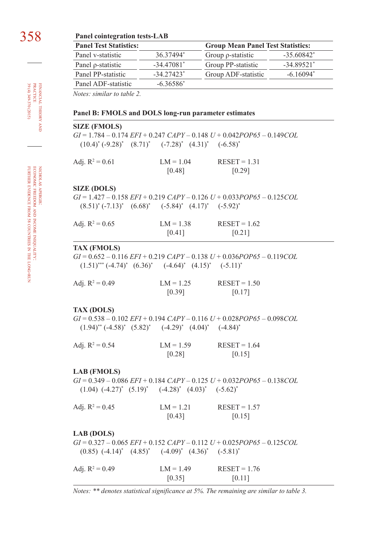## 358 **Panel cointegration tests-LAB**

| <b>Panel Test Statistics:</b> |              | <b>Group Mean Panel Test Statistics:</b> |                          |  |
|-------------------------------|--------------|------------------------------------------|--------------------------|--|
| Panel v-statistic             | 36 37494*    | Group $\rho$ -statistic                  | $-35.60842^*$            |  |
| Panel p-statistic             | $-34.47081*$ | Group PP-statistic                       | $-34.89521$ <sup>*</sup> |  |
| Panel PP-statistic            | $-3427423*$  | Group ADF-statistic                      | $-6.16094*$              |  |
| Panel ADF-statistic           | $-6.36586*$  |                                          |                          |  |

*Notes: similar to table 2.* 

#### **Panel B: FMOLS and DOLS long-run parameter estimates**

#### **SIZE (FMOLS)**

*GI* = 1.784 – 0.174 *EFI* + 0.247 *CAPY* – 0.148 *U* + 0.042*POP65* – 0.149*COL*   $(10.4)^* (-9.28)^* (8.71)^* (7.28)^* (4.31)^* (6.58)^*$ 

| Adj. $R^2 = 0.61$ | $LM = 1.04$ | $RESET = 1.31$ |
|-------------------|-------------|----------------|
|                   | [0.48]      | [0.29]         |

#### **SIZE (DOLS)**

*GI* = 1.427 – 0.158 *EFI* + 0.219 *CAPY* – 0.126 *U* + 0.033*POP65* – 0.125*COL*   $(8.51)^* (-7.13)^* (6.68)^* (5.84)^* (4.17)^* (5.92)^*$ 

| Adj. $R^2 = 0.65$ | $LM = 1.38$ | $RESET = 1.62$ |
|-------------------|-------------|----------------|
|                   | [0.41]      | $[0.21]$       |

#### **TAX (FMOLS)**

*GI* = 0.652 – 0.116 *EFI* + 0.219 *CAPY* – 0.138 *U* + 0.036*POP65* – 0.119*COL*   $(1.51)$ <sup>\*\*\*</sup>  $(-4.74)$ <sup>\*</sup>  $(6.36)$ <sup>\*</sup>  $(-4.64)$ <sup>\*</sup>  $(4.15)$ <sup>\*</sup>  $(-5.11)$ <sup>\*</sup>

| Adj. $R^2 = 0.49$ | $LM = 1.25$ | $REST = 1.50$ |
|-------------------|-------------|---------------|
|                   | [0.39]      | $[0.17]$      |

#### **TAX (DOLS)**

*GI* = 0.538 – 0.102 *EFI* + 0.194 *CAPY* – 0.116 *U* + 0.028*POP65* – 0.098*COL*   $(1.94)$ <sup>\*\*</sup>  $(-4.58)$ <sup>\*</sup>  $(5.82)$ <sup>\*</sup>  $(-4.29)$ <sup>\*</sup>  $(4.04)$ <sup>\*</sup>  $(-4.84)$ <sup>\*</sup>

| Adj. $R^2 = 0.54$ | $LM = 1.59$ | $RESET = 1.64$ |
|-------------------|-------------|----------------|
|                   | [0.28]      | [0.15]         |

#### **LAB (FMOLS)**

*GI* = 0.349 – 0.086 *EFI* + 0.184 *CAPY* – 0.125 *U* + 0.032*POP65* – 0.138*COL*   $(1.04)$   $(-4.27)^*$   $(5.19)^*$   $(-4.28)^*$   $(4.03)^*$   $(-5.62)^*$ 

| Adj. $R^2 = 0.45$ | $LM = 1.21$ | $REST = 1.57$ |
|-------------------|-------------|---------------|
|                   | [0.43]      | [0.15]        |

#### **LAB (DOLS)**

*GI* = 0.327 – 0.065 *EFI* + 0.152 *CAPY* – 0.112 *U* + 0.025*POP65* – 0.125*COL*   $(0.85)$   $(-4.14)^*$   $(4.85)^*$   $(-4.09)^*$   $(4.36)^*$   $(-5.81)^*$ 

| Adj. $R^2 = 0.49$ | $LM = 1.49$ | $RESET = 1.76$ |
|-------------------|-------------|----------------|
|                   | [0.35]      | [0.11]         |

*Notes: \*\* denotes statistical significance at 5%. The remaining are similar to table 3.*

financial

39 (4) 349-370 (2015) practice

FINANCIAL THEORY<br>PRACTICE<br>98 (4) 349-370 (2015)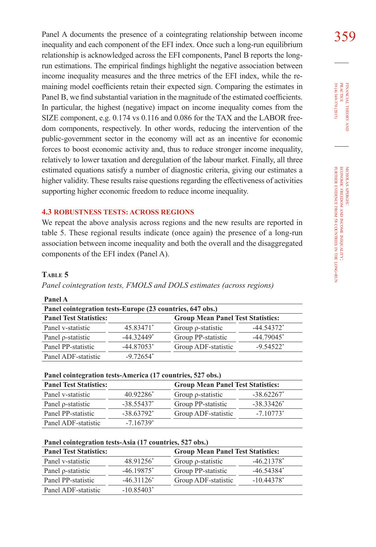Panel A documents the presence of a cointegrating relationship between income 359 inequality and each component of the EFI index. Once such a long-run equilibrium relationship is acknowledged across the EFI components, Panel B reports the longrun estimations. The empirical findings highlight the negative association between income inequality measures and the three metrics of the EFI index, while the remaining model coefficients retain their expected sign. Comparing the estimates in Panel B, we find substantial variation in the magnitude of the estimated coefficients. In particular, the highest (negative) impact on income inequality comes from the SIZE component, e.g. 0.174 vs 0.116 and 0.086 for the TAX and the LABOR freedom components, respectively. In other words, reducing the intervention of the public-government sector in the economy will act as an incentive for economic forces to boost economic activity and, thus to reduce stronger income inequality, relatively to lower taxation and deregulation of the labour market. Finally, all three estimated equations satisfy a number of diagnostic criteria, giving our estimates a higher validity. These results raise questions regarding the effectiveness of activities supporting higher economic freedom to reduce income inequality.

#### **4.3 ROBUSTNESS TESTS: ACROSS REGIONS**

We repeat the above analysis across regions and the new results are reported in table 5. These regional results indicate (once again) the presence of a long-run association between income inequality and both the overall and the disaggregated components of the EFI index (Panel A).

#### **Table 5**

*Panel cointegration tests, FMOLS and DOLS estimates (across regions)*

| Panel cointegration tests-Europe (23 countries, 647 obs.) |              |                         |                                          |  |
|-----------------------------------------------------------|--------------|-------------------------|------------------------------------------|--|
| <b>Panel Test Statistics:</b>                             |              |                         | <b>Group Mean Panel Test Statistics:</b> |  |
| Panel v-statistic                                         | 45.83471*    | Group $\rho$ -statistic | $-44.54372*$                             |  |
| Panel p-statistic                                         | $-44.32449*$ | Group PP-statistic      | $-44.79045$ <sup>*</sup>                 |  |
| Panel PP-statistic                                        | $-44.87053*$ | Group ADF-statistic     | $-9.54522*$                              |  |
| Panel ADF-statistic                                       | $-9.72654*$  |                         |                                          |  |

**Panel A**

#### **Panel cointegration tests-America (17 countries, 527 obs.)**

| <b>Panel Test Statistics:</b> |               | <b>Group Mean Panel Test Statistics:</b> |                          |
|-------------------------------|---------------|------------------------------------------|--------------------------|
| Panel v-statistic             | 40.92286*     | Group $\rho$ -statistic                  | $-38.62267$ <sup>*</sup> |
| Panel p-statistic             | $-38.55437$ * | Group PP-statistic                       | $-38.33426*$             |
| Panel PP-statistic            | $-38.63792*$  | Group ADF-statistic                      | $-7.10773*$              |
| Panel ADF-statistic           | $-7.16739*$   |                                          |                          |

| <b>Panel Test Statistics:</b> |                          | <b>Group Mean Panel Test Statistics:</b> |              |
|-------------------------------|--------------------------|------------------------------------------|--------------|
| Panel v-statistic             | 48.91256*                | Group $\rho$ -statistic                  | $-46.21378*$ |
| Panel p-statistic             | $-46.19875$ <sup>*</sup> | Group PP-statistic                       | $-46.54384*$ |
| Panel PP-statistic            | $-46.31126*$             | Group ADF-statistic                      | $-10.44378*$ |
| Panel ADF-statistic           | $-10.85403*$             |                                          |              |

39 (4) 349-370 (2015) FINANCIAL THEORY<br>PRACTICE 39 (4) 349-370 (2015) practice financial theory and **z**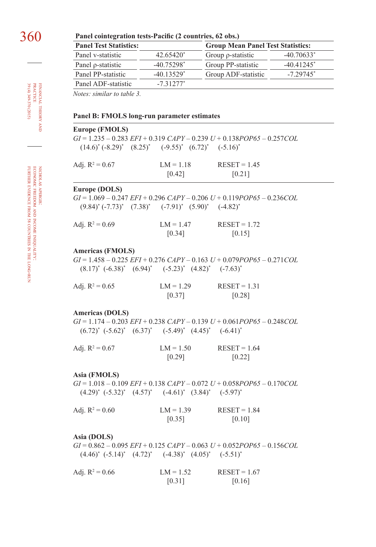| Panel cointegration tests-Pacific (2 c |  |  |
|----------------------------------------|--|--|
|                                        |  |  |

| <b>Panel Test Statistics:</b>                                        |                          | <b>Group Mean Panel Test Statistics:</b>                                            |               |
|----------------------------------------------------------------------|--------------------------|-------------------------------------------------------------------------------------|---------------|
| Panel v-statistic                                                    | 42.65420*                | Group p-statistic                                                                   | $-40.70633*$  |
| Panel p-statistic                                                    | $-40.75298$ <sup>*</sup> | Group PP-statistic                                                                  | $-40.41245$ * |
| Panel PP-statistic                                                   | $-40.13529*$             | Group ADF-statistic                                                                 | $-7.29745$ *  |
| Panel ADF-statistic                                                  | $-7.31277*$              |                                                                                     |               |
| Notes: similar to table 3.                                           |                          |                                                                                     |               |
| Panel B: FMOLS long-run parameter estimates<br>Europe (FMOLS)        |                          |                                                                                     |               |
|                                                                      |                          | $GI = 1.235 - 0.283$ $EFI + 0.319$ $CAPY - 0.239$ $U + 0.138POP65 - 0.257COL$       |               |
| $(14.6)^* (-8.29)^* (8.25)^* (9.55)^* (6.72)^* (5.16)^*$             |                          |                                                                                     |               |
| Adj. $R^2 = 0.67$                                                    | $LM = 1.18$              | $RESET = 1.45$                                                                      |               |
|                                                                      | $[0.42]$                 | [0.21]                                                                              |               |
|                                                                      |                          |                                                                                     |               |
| Europe (DOLS)                                                        |                          |                                                                                     |               |
|                                                                      |                          | $GI = 1.069 - 0.247 EFI + 0.296 CAPY - 0.206 U + 0.119 POP65 - 0.236 COL$           |               |
| $(9.84)^*$ $(-7.73)^*$ $(7.38)^*$ $(-7.91)^*$ $(5.90)^*$ $(-4.82)^*$ |                          |                                                                                     |               |
| Adj. $R^2 = 0.69$                                                    | $LM = 1.47$              | $RESET = 1.72$                                                                      |               |
|                                                                      | [0.34]                   | [0.15]                                                                              |               |
| <b>Americas (FMOLS)</b>                                              |                          | $GI = 1.458 - 0.225$ $EFI + 0.276$ $CAPY - 0.163$ $U + 0.079POP65 - 0.271$ COL      |               |
| $(8.17)^*$ $(-6.38)^*$ $(6.94)^*$ $(-5.23)^*$ $(4.82)^*$ $(-7.63)^*$ |                          |                                                                                     |               |
| Adj. $R^2 = 0.65$                                                    | $LM = 1.29$              | $REST = 1.31$                                                                       |               |
|                                                                      | [0.37]                   | [0.28]                                                                              |               |
|                                                                      |                          |                                                                                     |               |
| <b>Americas (DOLS)</b>                                               |                          |                                                                                     |               |
| $(6.72)^*$ $(-5.62)^*$ $(6.37)^*$ $(-5.49)^*$ $(4.45)^*$ $(-6.41)^*$ |                          | $GI = 1.174 - 0.203$ $EFI + 0.238$ $CAPY - 0.139$ $U + 0.061$ $POP65 - 0.248$ $COL$ |               |
| Adj. $R^2 = 0.67$                                                    | $LM = 1.50$<br>[0.29]    | $RESET = 1.64$<br>[0.22]                                                            |               |
|                                                                      |                          |                                                                                     |               |
| Asia (FMOLS)                                                         |                          |                                                                                     |               |
|                                                                      |                          | $GI = 1.018 - 0.109$ $EFI + 0.138$ $CAPY - 0.072$ $U + 0.058POP65 - 0.170COL$       |               |
| $(4.29)^*$ $(-5.32)^*$ $(4.57)^*$ $(-4.61)^*$ $(3.84)^*$ $(-5.97)^*$ |                          |                                                                                     |               |
| Adj. $R^2 = 0.60$                                                    | $LM = 1.39$              | $REST = 1.84$                                                                       |               |
|                                                                      | $[0.35]$                 | [0.10]                                                                              |               |
|                                                                      |                          |                                                                                     |               |
| Asia (DOLS)                                                          |                          |                                                                                     |               |
|                                                                      |                          | $GI = 0.862 - 0.095$ $EFI + 0.125$ $CAPY - 0.063$ $U + 0.052POP65 - 0.156COL$       |               |
| $(4.46)^*$ $(-5.14)^*$ $(4.72)^*$ $(-4.38)^*$ $(4.05)^*$ $(-5.51)^*$ |                          |                                                                                     |               |

| Adj. $R^2 = 0.66$ | $LM = 1.52$ | $REST = 1.67$ |
|-------------------|-------------|---------------|
|                   | [0.31]      | [0.16]        |

nicholas apergis: economic freedom and from 58 income inequality: further evidence countries in the long-run

financial theory FINANCIAL THEORY AND PRACTICE  $\begin{array}{l} \mbox{PAC} \rightarrow \\ \mbox{PAC} \rightarrow \\ \mbox{PAC} \rightarrow \\ \mbox{PAC} \rightarrow \\ \mbox{PBC} \rightarrow \\ \mbox{PBC} \rightarrow \\ \mbox{PBC} \rightarrow \\ \mbox{PBC} \rightarrow \\ \mbox{PBC} \rightarrow \\ \mbox{PBC} \rightarrow \\ \mbox{PBC} \rightarrow \\ \mbox{PBC} \rightarrow \\ \mbox{PBC} \rightarrow \\ \mbox{PBC} \rightarrow \\ \mbox{PBC} \rightarrow \\ \mbox{PBC} \rightarrow \\ \mbox{PBC} \rightarrow \\ \mbox{PBC} \rightarrow \\ \mbox$ 39 (4) 349-370 (2015) practice

L,

360 **Panel cointegration tests-Pacific (2 countries, 62 obs.)**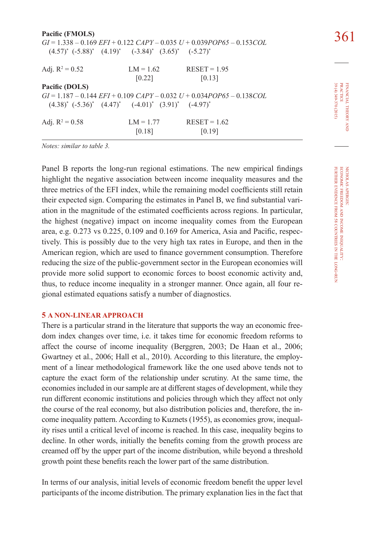| Pacific (FMOLS)                                                      |             |                                                                                     |                              |
|----------------------------------------------------------------------|-------------|-------------------------------------------------------------------------------------|------------------------------|
|                                                                      |             | $GI = 1.338 - 0.169$ $EFI + 0.122$ $CAPY - 0.035$ $U + 0.039$ $POP65 - 0.153$ $COL$ |                              |
| $(4.57)^*$ $(-5.88)^*$ $(4.19)^*$ $(-3.84)^*$ $(3.65)^*$ $(-5.27)^*$ |             |                                                                                     |                              |
|                                                                      |             |                                                                                     |                              |
| Adj. $R^2 = 0.52$                                                    | $LM = 1.62$ | $RESET = 1.95$                                                                      |                              |
|                                                                      | [0.22]      | [0.13]                                                                              |                              |
| Pacific (DOLS)                                                       |             |                                                                                     |                              |
|                                                                      |             | $GI = 1.187 - 0.144$ $EFI + 0.109$ $CAPY - 0.032$ $U + 0.034POP65 - 0.138COL$       |                              |
| $(4.38)^*$ $(-5.36)^*$ $(4.47)^*$ $(-4.01)^*$ $(3.91)^*$ $(-4.97)^*$ |             |                                                                                     | (4) 349-370 (2015)<br>THEORY |
| Adj. $R^2 = 0.58$                                                    | $LM = 1.77$ | $RESET = 1.62$                                                                      | Š                            |
|                                                                      | [0.18]      | [0.19]                                                                              |                              |

*Notes: similar to table 3.*

Panel B reports the long-run regional estimations. The new empirical findings highlight the negative association between income inequality measures and the three metrics of the EFI index, while the remaining model coefficients still retain their expected sign. Comparing the estimates in Panel B, we find substantial variation in the magnitude of the estimated coefficients across regions. In particular, the highest (negative) impact on income inequality comes from the European area, e.g. 0.273 vs 0.225, 0.109 and 0.169 for America, Asia and Pacific, respectively. This is possibly due to the very high tax rates in Europe, and then in the American region, which are used to finance government consumption. Therefore reducing the size of the public-government sector in the European economies will provide more solid support to economic forces to boost economic activity and, thus, to reduce income inequality in a stronger manner. Once again, all four regional estimated equations satisfy a number of diagnostics.

## **5 A NON-LINEAR APPROACH**

There is a particular strand in the literature that supports the way an economic freedom index changes over time, i.e. it takes time for economic freedom reforms to affect the course of income inequality (Berggren, 2003; De Haan et al., 2006; Gwartney et al., 2006; Hall et al., 2010). According to this literature, the employment of a linear methodological framework like the one used above tends not to capture the exact form of the relationship under scrutiny. At the same time, the economies included in our sample are at different stages of development, while they run different economic institutions and policies through which they affect not only the course of the real economy, but also distribution policies and, therefore, the income inequality pattern. According to Kuznets (1955), as economies grow, inequality rises until a critical level of income is reached. In this case, inequality begins to decline. In other words, initially the benefits coming from the growth process are creamed off by the upper part of the income distribution, while beyond a threshold growth point these benefits reach the lower part of the same distribution.

In terms of our analysis, initial levels of economic freedom benefit the upper level participants of the income distribution. The primary explanation lies in the fact that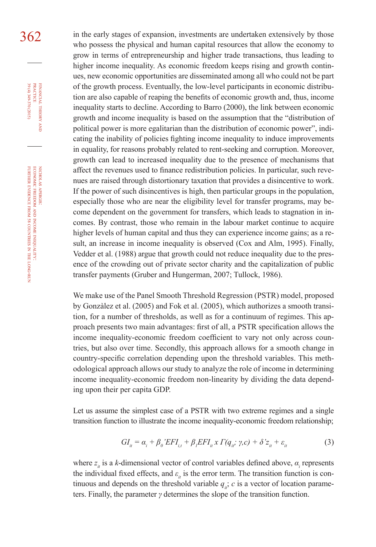362 in the early stages of expansion, investments are undertaken extensively by those who possess the physical and human capital resources that allow the economy to grow in terms of entrepreneurship and higher trade transactions, thus leading to higher income inequality. As economic freedom keeps rising and growth continues, new economic opportunities are disseminated among all who could not be part of the growth process. Eventually, the low-level participants in economic distribution are also capable of reaping the benefits of economic growth and, thus, income inequality starts to decline. According to Barro (2000), the link between economic growth and income inequality is based on the assumption that the "distribution of political power is more egalitarian than the distribution of economic power", indicating the inability of policies fighting income inequality to induce improvements in equality, for reasons probably related to rent-seeking and corruption. Moreover, growth can lead to increased inequality due to the presence of mechanisms that affect the revenues used to finance redistribution policies. In particular, such revenues are raised through distortionary taxation that provides a disincentive to work. If the power of such disincentives is high, then particular groups in the population, especially those who are near the eligibility level for transfer programs, may become dependent on the government for transfers, which leads to stagnation in incomes. By contrast, those who remain in the labour market continue to acquire higher levels of human capital and thus they can experience income gains; as a result, an increase in income inequality is observed (Cox and Alm, 1995). Finally, Vedder et al. (1988) argue that growth could not reduce inequality due to the presence of the crowding out of private sector charity and the capitalization of public transfer payments (Gruber and Hungerman, 2007; Tullock, 1986).

> We make use of the Panel Smooth Threshold Regression (PSTR) model, proposed by Gonzàlez et al. (2005) and Fok et al. (2005), which authorizes a smooth transition, for a number of thresholds, as well as for a continuum of regimes. This approach presents two main advantages: first of all, a PSTR specification allows the income inequality-economic freedom coefficient to vary not only across countries, but also over time. Secondly, this approach allows for a smooth change in country-specific correlation depending upon the threshold variables. This methodological approach allows our study to analyze the role of income in determining income inequality-economic freedom non-linearity by dividing the data depending upon their per capita GDP.

> Let us assume the simplest case of a PSTR with two extreme regimes and a single transition function to illustrate the income inequality-economic freedom relationship;

$$
GI_{ii} = \alpha_i + \beta_0' EFI_{i,t} + \beta_1 EFI_{ii} x \Gamma(q_{ii}; \gamma, c) + \delta' z_{ii} + \varepsilon_{ii}
$$
 (3)

where  $z_i$  is a *k*-dimensional vector of control variables defined above,  $\alpha_i$  represents the individual fixed effects, and  $\varepsilon$ <sub>*it*</sub> is the error term. The transition function is continuous and depends on the threshold variable  $q_{ij}$ ; *c* is a vector of location parameters. Finally, the parameter *γ* determines the slope of the transition function.

financial

FINANCIAL THEORY<br>PRACTICE 39 (4) 349-370 (2015)

39 (4) 349-370 (2015) practice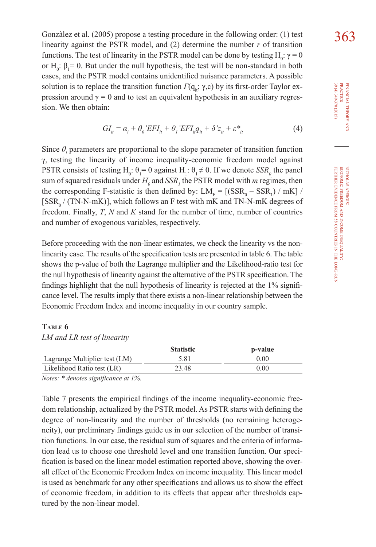Gonzàlez et al. (2005) propose a testing procedure in the following order: (1) test  $363$ linearity against the PSTR model, and  $(2)$  determine the number  $r$  of transition functions. The test of linearity in the PSTR model can be done by testing  $H_0: γ = 0$ or  $H_0$ :  $\beta_1 = 0$ . But under the null hypothesis, the test will be non-standard in both cases, and the PSTR model contains unidentified nuisance parameters. A possible solution is to replace the transition function  $\Gamma(\mathbf{q}_i; \gamma, \mathbf{c})$  by its first-order Taylor expression around  $\gamma = 0$  and to test an equivalent hypothesis in an auxiliary regression. We then obtain:

$$
GI_{ii} = \alpha_i + \theta_0' EFI_{ii} + \theta_1' EFI_{ii}q_{ii} + \delta' z_{ii} + \varepsilon_{ii}^* \tag{4}
$$

Since  $\theta$ <sup>*i*</sup> parameters are proportional to the slope parameter of transition function γ, testing the linearity of income inequality-economic freedom model against PSTR consists of testing  $H_0: \theta_1 = 0$  against  $H_1: \theta_1 \neq 0$ . If we denote  $SSR_0$  the panel sum of squared residuals under  $H_0$  and  $SSR_1$  the PSTR model with *m* regimes, then the corresponding F-statistic is then defined by:  $LM_F = [(SSR_0 - SSR_1) / mK] /$  $[SSR_0 / (TN-N-mK)]$ , which follows an F test with mK and TN-N-mK degrees of freedom. Finally, *T*, *N* and *K* stand for the number of time, number of countries and number of exogenous variables, respectively.

Before proceeding with the non-linear estimates, we check the linearity vs the nonlinearity case. The results of the specification tests are presented in table 6. The table shows the p-value of both the Lagrange multiplier and the Likelihood-ratio test for the null hypothesis of linearity against the alternative of the PSTR specification. The findings highlight that the null hypothesis of linearity is rejected at the 1% significance level. The results imply that there exists a non-linear relationship between the Economic Freedom Index and income inequality in our country sample.

#### **Table 6**

|                               | <b>Statistic</b> | p-value |
|-------------------------------|------------------|---------|
| Lagrange Multiplier test (LM) | 5.81             | 0.00    |
| Likelihood Ratio test (LR)    | 23.48            | 0.00    |

*Notes: \* denotes significance at 1%.*

Table 7 presents the empirical findings of the income inequality-economic freedom relationship, actualized by the PSTR model. As PSTR starts with defining the degree of non-linearity and the number of thresholds (no remaining heterogeneity), our preliminary findings guide us in our selection of the number of transition functions. In our case, the residual sum of squares and the criteria of information lead us to choose one threshold level and one transition function. Our specification is based on the linear model estimation reported above, showing the overall effect of the Economic Freedom Index on income inequality. This linear model is used as benchmark for any other specifications and allows us to show the effect of economic freedom, in addition to its effects that appear after thresholds captured by the non-linear model.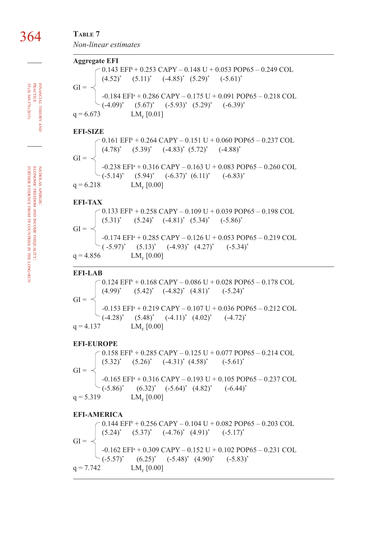## 364 **Table 7** *Non-linear estimates*

| <b>Aggregate EFI</b>      |                                                                                                                                                                                                                                                      |
|---------------------------|------------------------------------------------------------------------------------------------------------------------------------------------------------------------------------------------------------------------------------------------------|
|                           | $-0.143$ EFI <sup>b</sup> + 0.253 CAPY - 0.148 U + 0.053 POP65 - 0.249 COL                                                                                                                                                                           |
|                           | GI = $\left\{\n\begin{array}{l}\n(4.52)^{*} \quad (5.11)^{*} \quad (-4.85)^{*} \quad (5.29)^{*} \quad (-5.61)^{*} \\ -0.184 \text{ EFI}^{*} + 0.286 \text{ CAPY} - 0.175 \text{ U} + 0.091 \text{ POP65} - 0.218 \text{ COL}\n\end{array}\n\right\}$ |
|                           |                                                                                                                                                                                                                                                      |
|                           |                                                                                                                                                                                                                                                      |
|                           | $(-4.09)^*$ $(5.67)^*$ $(-5.93)^*$ $(5.29)^*$ $(-6.39)^*$                                                                                                                                                                                            |
| q = 6.673 $LM_F [0.01]$   |                                                                                                                                                                                                                                                      |
|                           |                                                                                                                                                                                                                                                      |
| EFI-SIZE                  |                                                                                                                                                                                                                                                      |
|                           | $0.161$ EFI <sup>b</sup> + 0.264 CAPY - 0.151 U + 0.060 POP65 - 0.237 COL                                                                                                                                                                            |
|                           |                                                                                                                                                                                                                                                      |
|                           |                                                                                                                                                                                                                                                      |
|                           | GI = $\left\{\n\begin{array}{l}\n(4.78)^{*} \quad (5.39)^{*} \quad (-4.83)^{*} \quad (5.72)^{*} \quad (-4.88)^{*} \\ -0.238 \text{ EFI}^{*} + 0.316 \text{ CAPY} - 0.163 \text{ U} + 0.083 \text{ POP65} - 0.260 \text{ COL}\n\end{array}\n\right\}$ |
|                           |                                                                                                                                                                                                                                                      |
|                           | $(-5.14)^*$ $(5.94)^*$ $(-6.37)^*$ $(6.11)^*$ $(-6.83)^*$                                                                                                                                                                                            |
| q = 6.218 $LM_F [0.00]$   |                                                                                                                                                                                                                                                      |
|                           |                                                                                                                                                                                                                                                      |
| EFI-TAX                   |                                                                                                                                                                                                                                                      |
|                           | $0.133$ EFI <sup>b</sup> + 0.258 CAPY - 0.109 U + 0.039 POP65 - 0.198 COL                                                                                                                                                                            |
|                           | GI = $\left\{\n\begin{array}{l}\n(5.31)^{*} \quad (5.24)^{*} \quad (-4.81)^{*} \quad (5.34)^{*} \quad (-5.86)^{*} \\ -0.174 \text{ EFI}^{*} + 0.285 \text{ CAPY} - 0.126 \text{ U} + 0.053 \text{ POP65} - 0.219 \text{ COL}\n\end{array}\n\right\}$ |
|                           |                                                                                                                                                                                                                                                      |
|                           |                                                                                                                                                                                                                                                      |
|                           | $(-5.97)^*$ $(5.13)^*$ $(-4.93)^*$ $(4.27)^*$ $(-5.34)^*$                                                                                                                                                                                            |
|                           |                                                                                                                                                                                                                                                      |
|                           |                                                                                                                                                                                                                                                      |
| q = 4.856 $LM_F [0.00]$   |                                                                                                                                                                                                                                                      |
| <b>EFI-LAB</b>            |                                                                                                                                                                                                                                                      |
|                           |                                                                                                                                                                                                                                                      |
|                           | $0.124$ EFI <sup>b</sup> + 0.168 CAPY - 0.086 U + 0.028 POP65 - 0.178 COL                                                                                                                                                                            |
|                           |                                                                                                                                                                                                                                                      |
| $GI =$                    |                                                                                                                                                                                                                                                      |
|                           | $I = \begin{cases} (4.99)^{*} & (5.42)^{*} & (4.82)^{*} & (4.81)^{*} & (-5.24)^{*} \\ -0.153 \text{ EFI}^{*} + 0.219 \text{ CAPY} - 0.107 \text{ U} + 0.036 \text{ POP65} - 0.212 \text{ COL} \end{cases}$                                           |
|                           | $(-4.28)^*$ $(5.48)^*$ $(-4.11)^*$ $(4.02)^*$ $(-4.72)^*$                                                                                                                                                                                            |
| $q = 4.137$ $LM_F [0.00]$ |                                                                                                                                                                                                                                                      |
|                           |                                                                                                                                                                                                                                                      |
| <b>EFI-EUROPE</b>         |                                                                                                                                                                                                                                                      |
|                           | $0.158$ EFI <sup>b</sup> + 0.285 CAPY - 0.125 U + 0.077 POP65 - 0.214 COL                                                                                                                                                                            |
|                           |                                                                                                                                                                                                                                                      |
| $GI =$                    |                                                                                                                                                                                                                                                      |
|                           |                                                                                                                                                                                                                                                      |
|                           | $(5.32)^*$ $(5.26)^*$ $(-4.31)^*$ $(4.58)^*$ $(-5.61)^*$<br>-0.165 EFI <sup>*</sup> + 0.316 CAPY - 0.193 U + 0.105 POP65 - 0.237 COL<br>$\left( -5.86 \right)$ (6.32) <sup>*</sup> (-5.64) <sup>*</sup> (4.82) <sup>*</sup> (-6.44) <sup>*</sup>     |
|                           |                                                                                                                                                                                                                                                      |
| q = 5.319 $LM_F [0.00]$   |                                                                                                                                                                                                                                                      |
| <b>EFI-AMERICA</b>        |                                                                                                                                                                                                                                                      |
|                           |                                                                                                                                                                                                                                                      |
|                           | $0.144$ EFI <sup>b</sup> + 0.256 CAPY - 0.104 U + 0.082 POP65 - 0.203 COL                                                                                                                                                                            |
|                           | GI = $\begin{cases} (5.24)^{*} & (5.37)^{*} & (-4.76)^{*} & (4.91)^{*} & (-5.17)^{*} \end{cases}$                                                                                                                                                    |

-0.162 EFI<sup>a</sup> + 0.309 CAPY – 0.152 U + 0.102 POP65 – 0.231 COL  $(-5.57)^*$   $(6.25)^*$   $(-5.48)^*$   $(4.90)^*$   $(-5.83)^*$  $q = 7.742$  LM<sub>F</sub> [0.00]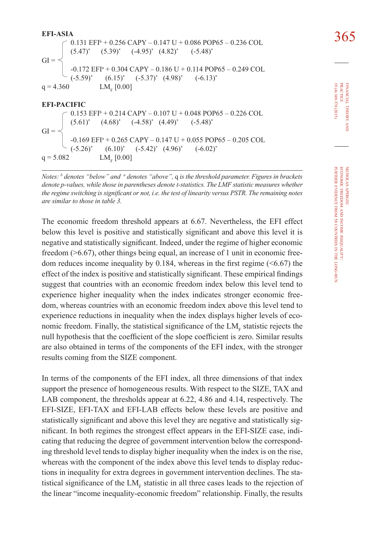**EFI-ASIA**<br>  $\begin{array}{|l} 0.131 \text{ EFP} + 0.256 \text{ CAPY} - 0.147 \text{ U} + 0.086 \text{ POP65} - 0.236 \text{ COL} \end{array}$  365  $(5.47)^*$  $(5.39)^*$  $(-4.95)^*$   $(4.82)^*$  $(-5.48)^*$  $GI =$ -0.172 EFI<sup>a</sup> + 0.304 CAPY – 0.186 U + 0.114 POP65 – 0.249 COL  $(-5.59)^{*}$  $(6.15)^*$  $(-5.37)^*$   $(4.98)^*$  $(-6.13)^*$  $q = 4.360$  $LM<sub>r</sub>$  [0.00] **EFI-PACIFIC** 0.153 EFI<sup>b</sup> + 0.214 CAPY – 0.107 U + 0.048 POP65 – 0.226 COL  $(5.61)^*$  $(4.68)^*$  $(-4.58)^*$   $(4.49)^*$  $(-5.48)^*$  $GI =$ -0.169 EFI<sup>a</sup> + 0.265 CAPY – 0.147 U + 0.055 POP65 – 0.205 COL  $(-5.26)^*$  $(6.10)^*$  $(-5.42)^*$   $(4.96)^*$  $(-6.02)^{*}$  $q = 5.082$  $LM_{n}[0.00]$ 

*Notes: b denotes "below" and a denotes "above",* q *is the threshold parameter. Figures in brackets denote p-values, while those in parentheses denote t-statistics. The LMF statistic measures whether the regime switching is significant or not, i.e. the test of linearity versus PSTR. The remaining notes are similar to those in table 3.* 

The economic freedom threshold appears at 6.67. Nevertheless, the EFI effect below this level is positive and statistically significant and above this level it is negative and statistically significant. Indeed, under the regime of higher economic freedom (>6.67), other things being equal, an increase of 1 unit in economic freedom reduces income inequality by  $0.184$ , whereas in the first regime ( $\leq 6.67$ ) the effect of the index is positive and statistically significant. These empirical findings suggest that countries with an economic freedom index below this level tend to experience higher inequality when the index indicates stronger economic freedom, whereas countries with an economic freedom index above this level tend to experience reductions in inequality when the index displays higher levels of economic freedom. Finally, the statistical significance of the  $LM_F$  statistic rejects the null hypothesis that the coefficient of the slope coefficient is zero. Similar results are also obtained in terms of the components of the EFI index, with the stronger results coming from the SIZE component.

In terms of the components of the EFI index, all three dimensions of that index support the presence of homogeneous results. With respect to the SIZE, TAX and LAB component, the thresholds appear at 6.22, 4.86 and 4.14, respectively. The EFI-SIZE, EFI-TAX and EFI-LAB effects below these levels are positive and statistically significant and above this level they are negative and statistically significant. In both regimes the strongest effect appears in the EFI-SIZE case, indicating that reducing the degree of government intervention below the corresponding threshold level tends to display higher inequality when the index is on the rise, whereas with the component of the index above this level tends to display reductions in inequality for extra degrees in government intervention declines. The statistical significance of the  $LM_F$  statistic in all three cases leads to the rejection of the linear "income inequality-economic freedom" relationship. Finally, the results

financial

39 (4) 349-370 (2015) practice

39 (4) 349-370 (2015) **PRACTICE** FINANCIAL THEORY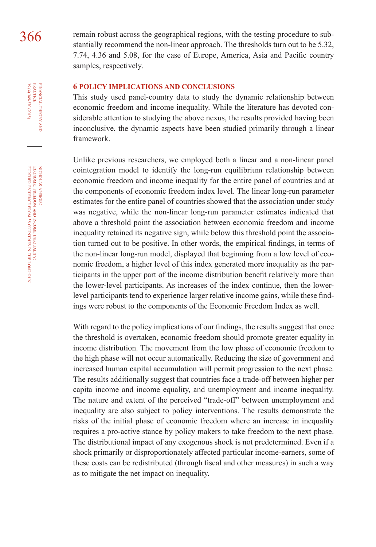366 remain robust across the geographical regions, with the testing procedure to substantially recommend the non-linear approach. The thresholds turn out to be 5.32, 7.74, 4.36 and 5.08, for the case of Europe, America, Asia and Pacific country samples, respectively.

#### **6 POLICY IMPLICATIONS AND CONCLUSIONS**

This study used panel-country data to study the dynamic relationship between economic freedom and income inequality. While the literature has devoted considerable attention to studying the above nexus, the results provided having been inconclusive, the dynamic aspects have been studied primarily through a linear framework.

Unlike previous researchers, we employed both a linear and a non-linear panel cointegration model to identify the long-run equilibrium relationship between economic freedom and income inequality for the entire panel of countries and at the components of economic freedom index level. The linear long-run parameter estimates for the entire panel of countries showed that the association under study was negative, while the non-linear long-run parameter estimates indicated that above a threshold point the association between economic freedom and income inequality retained its negative sign, while below this threshold point the association turned out to be positive. In other words, the empirical findings, in terms of the non-linear long-run model, displayed that beginning from a low level of economic freedom, a higher level of this index generated more inequality as the participants in the upper part of the income distribution benefit relatively more than the lower-level participants. As increases of the index continue, then the lowerlevel participants tend to experience larger relative income gains, while these findings were robust to the components of the Economic Freedom Index as well.

With regard to the policy implications of our findings, the results suggest that once the threshold is overtaken, economic freedom should promote greater equality in income distribution. The movement from the low phase of economic freedom to the high phase will not occur automatically. Reducing the size of government and increased human capital accumulation will permit progression to the next phase. The results additionally suggest that countries face a trade-off between higher per capita income and income equality, and unemployment and income inequality. The nature and extent of the perceived "trade-off" between unemployment and inequality are also subject to policy interventions. The results demonstrate the risks of the initial phase of economic freedom where an increase in inequality requires a pro-active stance by policy makers to take freedom to the next phase. The distributional impact of any exogenous shock is not predetermined. Even if a shock primarily or disproportionately affected particular income-earners, some of these costs can be redistributed (through fiscal and other measures) in such a way as to mitigate the net impact on inequality.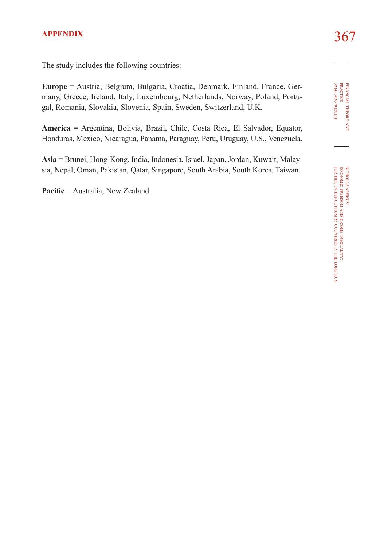## 367 **APPENDIX**

The study includes the following countries:

**Europe** = Austria, Belgium, Bulgaria, Croatia, Denmark, Finland, France, Germany, Greece, Ireland, Italy, Luxembourg, Netherlands, Norway, Poland, Portugal, Romania, Slovakia, Slovenia, Spain, Sweden, Switzerland, U.K.

**America** = Argentina, Bolivia, Brazil, Chile, Costa Rica, El Salvador, Equator, Honduras, Mexico, Nicaragua, Panama, Paraguay, Peru, Uruguay, U.S., Venezuela.

**Asia** = Brunei, Hong-Kong, India, Indonesia, Israel, Japan, Jordan, Kuwait, Malaysia, Nepal, Oman, Pakistan, Qatar, Singapore, South Arabia, South Korea, Taiwan.

**Pacific** = Australia, New Zealand.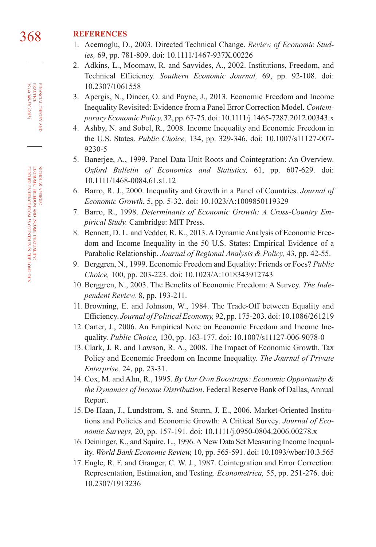## 368 **REFERENCES**

- 1. Acemoglu, D., 2003. Directed Technical Change. *Review of Economic Studies,* 69, pp. 781-809. doi: [10.1111/1467-937X.00226](http://dx.doi.org/10.1111/1467-937X.00226)
- 2. Adkins, L., Moomaw, R. and Savvides, A., 2002. Institutions, Freedom, and Technical Efficiency. *Southern Economic Journal,* 69, pp. 92-108. doi: [10.2307/1061558](http://dx.doi.org/10.2307/1061558)
- 3. Apergis, N., Dincer, O. and Payne, J., 2013. Economic Freedom and Income Inequality Revisited: Evidence from a Panel Error Correction Model. *Contemporary Economic Policy,* 32, pp. 67-75. doi: [10.1111/j.1465-7287.2012.00343.x](http://dx.doi.org/10.1111/j.1465-7287.2012.00343.x)
- 4. Ashby, N. and Sobel, R., 2008. Income Inequality and Economic Freedom in the U.S. States. *Public Choice,* 134, pp. 329-346. doi: [10.1007/s11127-007-](http://dx.doi.org/10.1007/s11127-007-9230-5) [9230-5](http://dx.doi.org/10.1007/s11127-007-9230-5)
- 5. Banerjee, A., 1999. Panel Data Unit Roots and Cointegration: An Overview. *Oxford Bulletin of Economics and Statistics,* 61, pp. 607-629. doi: [10.1111/1468-0084.61.s1.12](http://dx.doi.org/10.1111/1468-0084.61.s1.12)
- 6. Barro, R. J., 2000. Inequality and Growth in a Panel of Countries. *Journal of Economic Growth*, 5, pp. 5-32. doi: [10.1023/A:1009850119329](http://dx.doi.org/10.1023/A:1009850119329)
- 7. Barro, R., 1998. *Determinants of Economic Growth: A Cross-Country Empirical Study.* Cambridge: MIT Press.
- 8. Bennett, D. L. and Vedder, R. K., 2013. A Dynamic Analysis of Economic Freedom and Income Inequality in the 50 U.S. States: Empirical Evidence of a Parabolic Relationship. *Journal of Regional Analysis & Policy,* 43, pp. 42-55.
- 9. Berggren, N., 1999. Economic Freedom and Equality: Friends or Foes? *Public Choice,* 100, pp. 203-223. doi: [10.1023/A:1018343912743](http://dx.doi.org/10.1023/A:1018343912743)
- 10. Berggren, N., 2003. The Benefits of Economic Freedom: A Survey. *The Independent Review,* 8, pp. 193-211.
- 11. Browning, E. and Johnson, W., 1984. The Trade-Off between Equality and Efficiency. *Journal of Political Economy,* 92, pp. 175-203. doi: [10.1086/261219](http://dx.doi.org/10.1086/261219)
- 12. Carter, J., 2006. An Empirical Note on Economic Freedom and Income Inequality. *Public Choice,* 130, pp. 163-177. doi: [10.1007/s11127-006-9078-0](http://dx.doi.org/10.1007/s11127-006-9078-0)
- 13. Clark, J. R. and Lawson, R. A., 2008. The Impact of Economic Growth, Tax Policy and Economic Freedom on Income Inequality. *The Journal of Private Enterprise,* 24, pp. 23-31.
- 14. Cox, M. and Alm, R., 1995. *By Our Own Boostraps: Economic Opportunity & the Dynamics of Income Distribution*. Federal Reserve Bank of Dallas, Annual Report.
- 15. De Haan, J., Lundstrom, S. and Sturm, J. E., 2006. Market-Oriented Institutions and Policies and Economic Growth: A Critical Survey. *Journal of Economic Surveys,* 20, pp. 157-191. doi: [10.1111/j.0950-0804.2006.00278.x](http://dx.doi.org/10.1111/j.0950-0804.2006.00278.x)
- 16. Deininger, K., and Squire, L., 1996. A New Data Set Measuring Income Inequality. *World Bank Economic Review,* 10, pp. 565-591. doi: [10.1093/wber/10.3.565](http://dx.doi.org/10.1093/wber/10.3.565)
- 17. Engle, R. F. and Granger, C. W. J., 1987. Cointegration and Error Correction: Representation, Estimation, and Testing. *Econometrica,* 55, pp. 251-276. doi: [10.2307/1913236](http://dx.doi.org/10.2307/1913236)

financial

FINANCIAL THEORY PRACTICE 39 (4) 349-370 (2015)

39 (4) 349-370 (2015) practice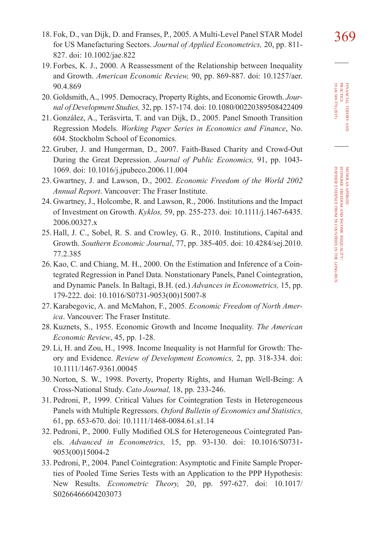- 19. Forbes, K. J., 2000. A Reassessment of the Relationship between Inequality and Growth. *American Economic Review,* 90, pp. 869-887. doi: [10.1257/aer.](http://dx.doi.org/10.1257/aer.90.4.869) [90.4.869](http://dx.doi.org/10.1257/aer.90.4.869)
- 20. Goldsmith, A., 1995. Democracy, Property Rights, and Economic Growth. *Journal of Development Studies,* 32, pp. 157-174. doi: [10.1080/00220389508422409](http://dx.doi.org/10.1080/00220389508422409)
- 21. González, A., Teräsvirta, T. and van Dijk, D., 2005. Panel Smooth Transition Regression Models. *Working Paper Series in Economics and Finance*, No. 604. Stockholm School of Economics.
- 22. Gruber, J. and Hungerman, D., 2007. Faith-Based Charity and Crowd-Out During the Great Depression. *Journal of Public Economics,* 91, pp. 1043- 1069. doi: [10.1016/j.jpubeco.2006.11.004](http://dx.doi.org/10.1016/j.jpubeco.2006.11.004)
- 23. Gwartney, J. and Lawson, D., 2002. *Economic Freedom of the World 2002 Annual Report*. Vancouver: The Fraser Institute.
- 24. Gwartney, J., Holcombe, R. and Lawson, R., 2006. Institutions and the Impact of Investment on Growth. *Kyklos,* 59, pp. 255-273. doi: [10.1111/j.1467-6435.](http://dx.doi.org/10.1111/j.1467-6435.2006.00327.x) [2006.00327.x](http://dx.doi.org/10.1111/j.1467-6435.2006.00327.x)
- 25. Hall, J. C., Sobel, R. S. and Crowley, G. R., 2010. Institutions, Capital and Growth. *Southern Economic Journal*, 77, pp. 385-405. doi: [10.4284/sej.2010.](http://dx.doi.org/10.4284/sej.2010.77.2.385) [77.2.385](http://dx.doi.org/10.4284/sej.2010.77.2.385)
- 26. Kao, C. and Chiang, M. H., 2000. On the Estimation and Inference of a Cointegrated Regression in Panel Data. Nonstationary Panels, Panel Cointegration, and Dynamic Panels. In Baltagi, B.H. (ed.) *Advances in Econometrics,* 15, pp. 179-222. doi: [10.1016/S0731-9053\(00\)15007-8](http://dx.doi.org/10.1016/S0731-9053(00)15007-8)
- 27. Karabegovic, A. and McMahon, F., 2005. *Economic Freedom of North America*. Vancouver: The Fraser Institute.
- 28. Kuznets, S., 1955. Economic Growth and Income Inequality. *The American Economic Review*, 45, pp. 1-28.
- 29. Li, H. and Zou, H., 1998. Income Inequality is not Harmful for Growth: Theory and Evidence. *Review of Development Economics,* 2, pp. 318-334. doi: [10.1111/1467-9361.00045](http://dx.doi.org/10.1111/1467-9361.00045)
- 30. Norton, S. W., 1998. Poverty, Property Rights, and Human Well-Being: A Cross-National Study. *Cato Journal,* 18, pp. 233-246.
- 31. Pedroni, P., 1999. Critical Values for Cointegration Tests in Heterogeneous Panels with Multiple Regressors. *Oxford Bulletin of Economics and Statistics,* 61, pp. 653-670. doi: [10.1111/1468-0084.61.s1.14](http://dx.doi.org/10.1111/1468-0084.61.s1.14)
- 32. Pedroni, P., 2000. Fully Modified OLS for Heterogeneous Cointegrated Panels. *Advanced in Econometrics,* 15, pp. 93-130. doi: [10.1016/S0731-](http://dx.doi.org/10.1016/S0731-9053(00)15004-2) [9053\(00\)15004-2](http://dx.doi.org/10.1016/S0731-9053(00)15004-2)
- 33. Pedroni, P., 2004. Panel Cointegration: Asymptotic and Finite Sample Properties of Pooled Time Series Tests with an Application to the PPP Hypothesis: New Results. *Econometric Theory,* 20, pp. 597-627. doi: [10.1017/](http://dx.doi.org/10.1017/S0266466604203073) [S0266466604203073](http://dx.doi.org/10.1017/S0266466604203073)